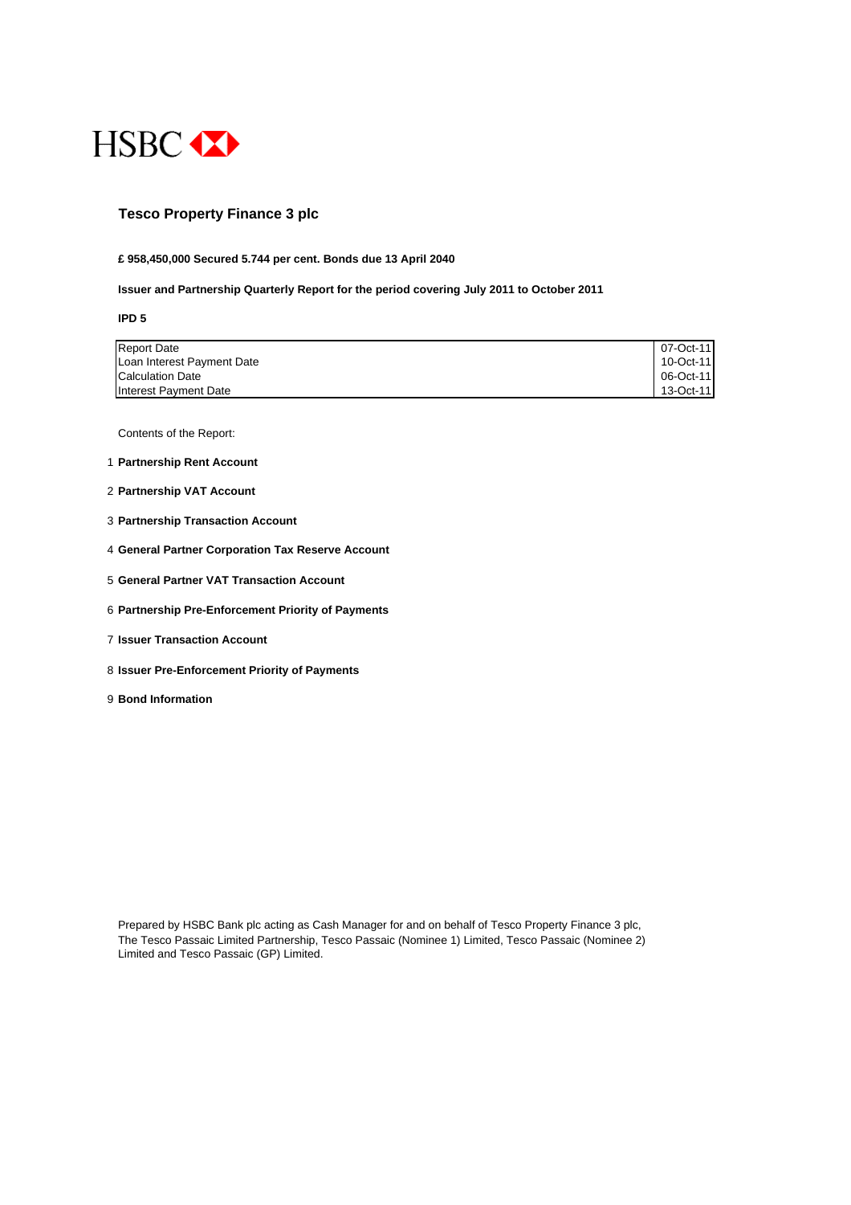

# **Tesco Property Finance 3 plc**

#### **£ 958,450,000 Secured 5.744 per cent. Bonds due 13 April 2040**

#### **Issuer and Partnership Quarterly Report for the period covering July 2011 to October 2011**

**IPD 5**

| <b>Report Date</b>         | 07-Oct-11 |
|----------------------------|-----------|
| Loan Interest Payment Date | 10-Oct-11 |
| <b>Calculation Date</b>    | 06-Oct-11 |
| Interest Payment Date      | 13-Oct-11 |

Contents of the Report:

- 1 **Partnership Rent Account**
- 2 **Partnership VAT Account**
- 3 **Partnership Transaction Account**
- 4 **General Partner Corporation Tax Reserve Account**
- 5 **General Partner VAT Transaction Account**
- 6 **Partnership Pre-Enforcement Priority of Payments**
- 7 **Issuer Transaction Account**
- 8 **Issuer Pre-Enforcement Priority of Payments**
- 9 **Bond Information**

Prepared by HSBC Bank plc acting as Cash Manager for and on behalf of Tesco Property Finance 3 plc, The Tesco Passaic Limited Partnership, Tesco Passaic (Nominee 1) Limited, Tesco Passaic (Nominee 2) Limited and Tesco Passaic (GP) Limited.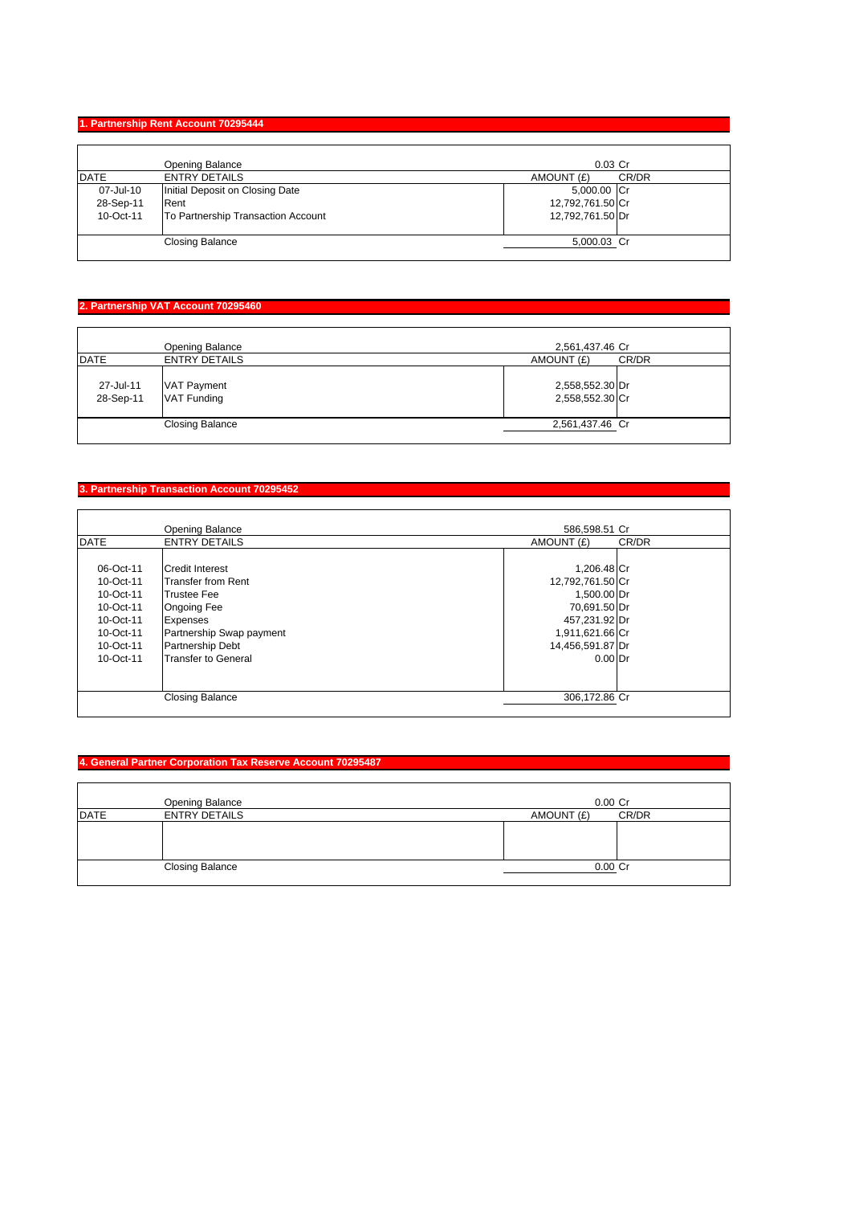#### **1. Partnership Rent Account 70295444**

|             | Opening Balance                    | $0.03$ Cr        |       |
|-------------|------------------------------------|------------------|-------|
| <b>DATE</b> | <b>ENTRY DETAILS</b>               | AMOUNT (£)       | CR/DR |
| 07-Jul-10   | Initial Deposit on Closing Date    | 5,000.00 Cr      |       |
| 28-Sep-11   | Rent                               | 12,792,761.50 Cr |       |
| 10-Oct-11   | To Partnership Transaction Account | 12,792,761.50 Dr |       |
|             | <b>Closing Balance</b>             | 5,000.03 Cr      |       |

# **2. Partnership VAT Account 70295460**

| <b>DATE</b>            | Opening Balance<br><b>ENTRY DETAILS</b> | 2,561,437.46 Cr<br>AMOUNT (£)      | CR/DR |
|------------------------|-----------------------------------------|------------------------------------|-------|
| 27-Jul-11<br>28-Sep-11 | <b>VAT Payment</b><br>VAT Funding       | 2,558,552.30 Dr<br>2,558,552.30 Cr |       |
|                        | <b>Closing Balance</b>                  | 2,561,437.46 Cr                    |       |

# **3. Partnership Transaction Account 70295452**

|             | <b>Opening Balance</b>     | 586.598.51 Cr    |       |
|-------------|----------------------------|------------------|-------|
| <b>DATE</b> | <b>ENTRY DETAILS</b>       | AMOUNT (£)       | CR/DR |
|             |                            |                  |       |
| 06-Oct-11   | <b>Credit Interest</b>     | 1,206.48 Cr      |       |
| 10-Oct-11   | <b>Transfer from Rent</b>  | 12,792,761.50 Cr |       |
| 10-Oct-11   | <b>Trustee Fee</b>         | 1,500.00 Dr      |       |
| 10-Oct-11   | <b>Ongoing Fee</b>         | 70,691.50 Dr     |       |
| 10-Oct-11   | Expenses                   | 457,231.92 Dr    |       |
| 10-Oct-11   | Partnership Swap payment   | 1,911,621.66 Cr  |       |
| 10-Oct-11   | <b>Partnership Debt</b>    | 14,456,591.87 Dr |       |
| 10-Oct-11   | <b>Transfer to General</b> | $0.00$ Dr        |       |
|             |                            |                  |       |
|             |                            |                  |       |
|             | <b>Closing Balance</b>     | 306,172.86 Cr    |       |
|             |                            |                  |       |

# **4. General Partner Corporation Tax Reserve Account 70295487**

|             | Opening Balance        | $0.00$ Cr  |       |
|-------------|------------------------|------------|-------|
| <b>DATE</b> | <b>ENTRY DETAILS</b>   | AMOUNT (£) | CR/DR |
|             |                        |            |       |
|             | <b>Closing Balance</b> | $0.00$ Cr  |       |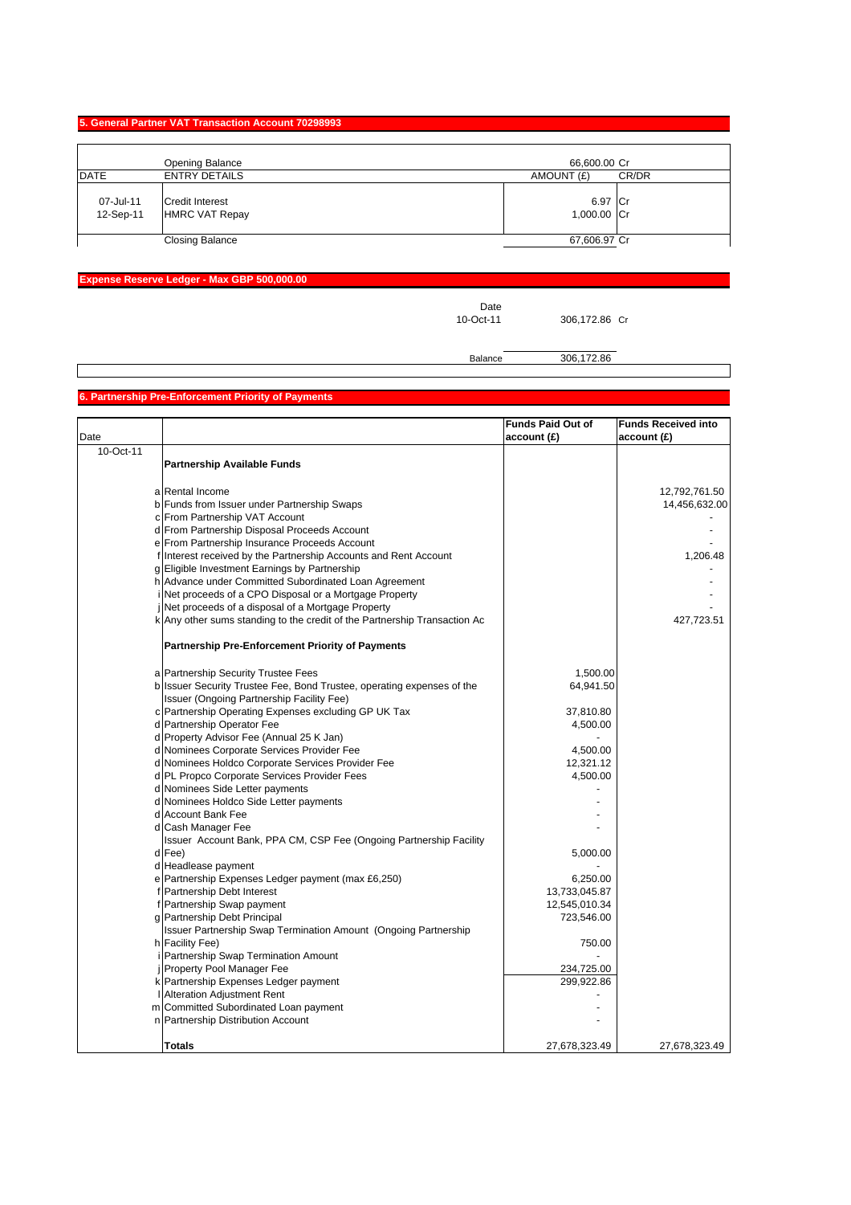#### **5. General Partner VAT Transaction Account 70298993**

|                        | Opening Balance                                 | 66,600.00 Cr           |  |
|------------------------|-------------------------------------------------|------------------------|--|
| <b>DATE</b>            | <b>ENTRY DETAILS</b>                            | CR/DR<br>AMOUNT (£)    |  |
| 07-Jul-11<br>12-Sep-11 | <b>Credit Interest</b><br><b>HMRC VAT Repay</b> | 6.97 Cr<br>1,000.00 Cr |  |
|                        | <b>Closing Balance</b>                          | 67,606.97 Cr           |  |

# **Expense Reserve Ledger - Max GBP 500,000.00**

Date<br>10-Oct-11

306,172.86 Cr

# Balance 306,172.86

# **6. Partnership Pre-Enforcement Priority of Payments**

|           |                                                                                                                     | <b>Funds Paid Out of</b> | <b>Funds Received into</b> |
|-----------|---------------------------------------------------------------------------------------------------------------------|--------------------------|----------------------------|
| Date      |                                                                                                                     | account(E)               | account (£)                |
| 10-Oct-11 |                                                                                                                     |                          |                            |
|           | Partnership Available Funds                                                                                         |                          |                            |
|           |                                                                                                                     |                          |                            |
|           | a Rental Income                                                                                                     |                          | 12,792,761.50              |
|           | b Funds from Issuer under Partnership Swaps                                                                         |                          | 14,456,632.00              |
|           | c From Partnership VAT Account                                                                                      |                          |                            |
|           | d From Partnership Disposal Proceeds Account                                                                        |                          |                            |
|           | e From Partnership Insurance Proceeds Account                                                                       |                          |                            |
|           | f Interest received by the Partnership Accounts and Rent Account                                                    |                          | 1,206.48                   |
|           | g Eligible Investment Earnings by Partnership                                                                       |                          |                            |
|           | h Advance under Committed Subordinated Loan Agreement                                                               |                          |                            |
|           | i Net proceeds of a CPO Disposal or a Mortgage Property                                                             |                          |                            |
|           | Net proceeds of a disposal of a Mortgage Property                                                                   |                          |                            |
|           | k Any other sums standing to the credit of the Partnership Transaction Ac                                           |                          | 427,723.51                 |
|           | <b>Partnership Pre-Enforcement Priority of Payments</b>                                                             |                          |                            |
|           | a Partnership Security Trustee Fees                                                                                 | 1,500.00                 |                            |
|           |                                                                                                                     |                          |                            |
|           | b Issuer Security Trustee Fee, Bond Trustee, operating expenses of the<br>Issuer (Ongoing Partnership Facility Fee) | 64,941.50                |                            |
|           | c Partnership Operating Expenses excluding GP UK Tax                                                                | 37,810.80                |                            |
|           | d Partnership Operator Fee                                                                                          | 4,500.00                 |                            |
|           | d Property Advisor Fee (Annual 25 K Jan)                                                                            |                          |                            |
|           | d Nominees Corporate Services Provider Fee                                                                          | 4,500.00                 |                            |
|           | d Nominees Holdco Corporate Services Provider Fee                                                                   | 12,321.12                |                            |
|           | d PL Propco Corporate Services Provider Fees                                                                        | 4,500.00                 |                            |
|           | d Nominees Side Letter payments                                                                                     |                          |                            |
|           | d Nominees Holdco Side Letter payments                                                                              |                          |                            |
|           | d Account Bank Fee                                                                                                  |                          |                            |
|           | d Cash Manager Fee                                                                                                  |                          |                            |
|           | Issuer Account Bank, PPA CM, CSP Fee (Ongoing Partnership Facility                                                  |                          |                            |
|           | d Fee)                                                                                                              | 5,000.00                 |                            |
|           | d Headlease payment                                                                                                 |                          |                            |
|           | e Partnership Expenses Ledger payment (max £6,250)                                                                  | 6,250.00                 |                            |
|           | f Partnership Debt Interest                                                                                         | 13,733,045.87            |                            |
|           | Partnership Swap payment                                                                                            | 12,545,010.34            |                            |
|           | g Partnership Debt Principal                                                                                        | 723,546.00               |                            |
|           | Issuer Partnership Swap Termination Amount (Ongoing Partnership                                                     |                          |                            |
|           | h Facility Fee)                                                                                                     | 750.00                   |                            |
|           | Partnership Swap Termination Amount                                                                                 |                          |                            |
|           | Property Pool Manager Fee                                                                                           | 234,725.00               |                            |
|           | k Partnership Expenses Ledger payment                                                                               | 299,922.86               |                            |
|           | Alteration Adjustment Rent                                                                                          |                          |                            |
|           | m Committed Subordinated Loan payment                                                                               |                          |                            |
|           | n Partnership Distribution Account                                                                                  |                          |                            |
|           | Totals                                                                                                              | 27,678,323.49            | 27,678,323.49              |
|           |                                                                                                                     |                          |                            |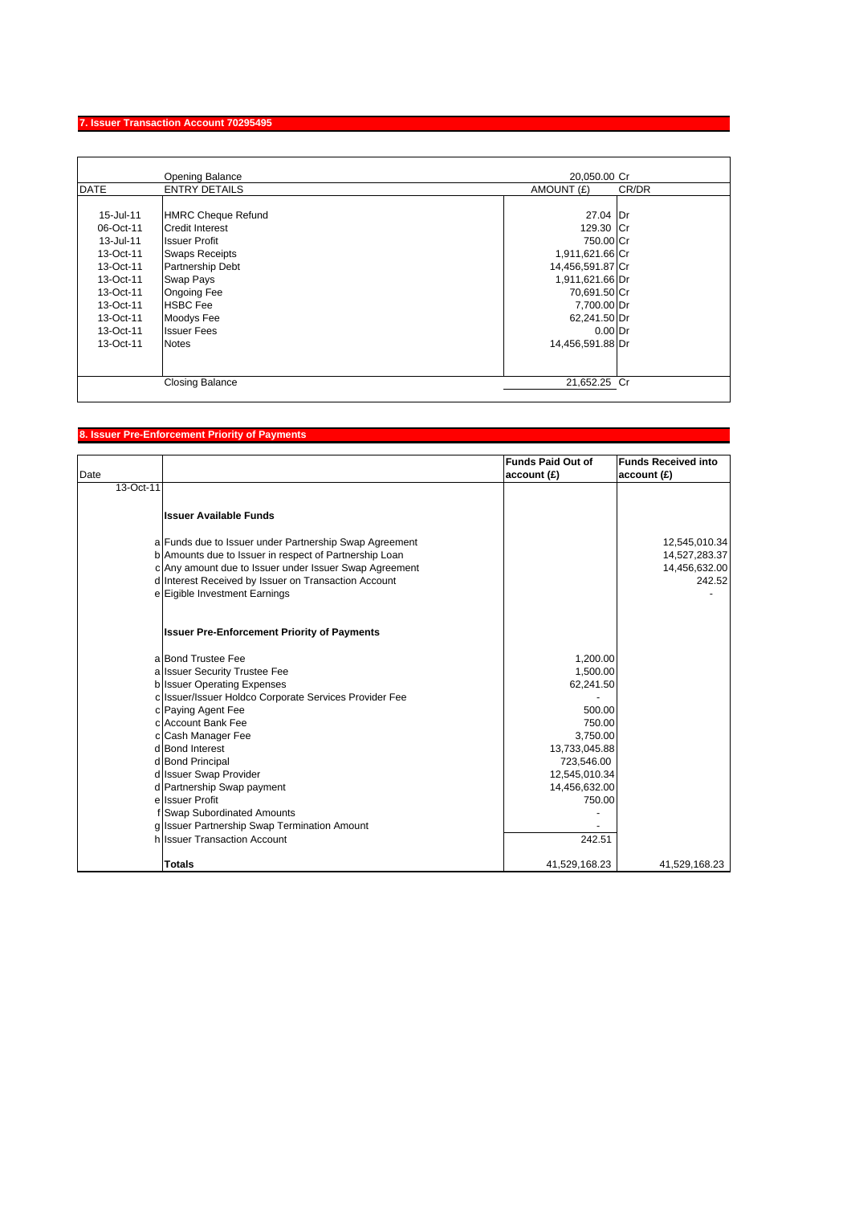# **7. Issuer Transaction Account 70295495**

|             | Opening Balance           | 20,050.00 Cr     |       |
|-------------|---------------------------|------------------|-------|
| <b>DATE</b> | <b>ENTRY DETAILS</b>      | AMOUNT (£)       | CR/DR |
|             |                           |                  |       |
| 15-Jul-11   | <b>HMRC Cheque Refund</b> | 27.04 Dr         |       |
| 06-Oct-11   | <b>Credit Interest</b>    | 129.30 Cr        |       |
| 13-Jul-11   | <b>Issuer Profit</b>      | 750.00 Cr        |       |
| 13-Oct-11   | <b>Swaps Receipts</b>     | 1,911,621.66 Cr  |       |
| 13-Oct-11   | Partnership Debt          | 14,456,591.87 Cr |       |
| 13-Oct-11   | <b>Swap Pays</b>          | 1,911,621.66 Dr  |       |
| 13-Oct-11   | <b>Ongoing Fee</b>        | 70,691.50 Cr     |       |
| 13-Oct-11   | <b>HSBC</b> Fee           | 7,700.00 Dr      |       |
| 13-Oct-11   | Moodys Fee                | 62,241.50 Dr     |       |
| 13-Oct-11   | <b>Issuer Fees</b>        | $0.00$ Dr        |       |
| 13-Oct-11   | <b>Notes</b>              | 14,456,591.88 Dr |       |
|             |                           |                  |       |
|             |                           |                  |       |
|             | <b>Closing Balance</b>    | 21,652.25 Cr     |       |
|             |                           |                  |       |

# **8. Issuer Pre-Enforcement Priority of Payments**

| Date      |                                                                                                                  | <b>Funds Paid Out of</b><br>account(E) | <b>Funds Received into</b><br>account(E) |
|-----------|------------------------------------------------------------------------------------------------------------------|----------------------------------------|------------------------------------------|
| 13-Oct-11 |                                                                                                                  |                                        |                                          |
|           | Ilssuer Available Funds                                                                                          |                                        |                                          |
|           | a Funds due to Issuer under Partnership Swap Agreement<br>b Amounts due to Issuer in respect of Partnership Loan |                                        | 12,545,010.34<br>14,527,283.37           |
|           | c Any amount due to Issuer under Issuer Swap Agreement                                                           |                                        | 14,456,632.00                            |
|           | d Interest Received by Issuer on Transaction Account                                                             |                                        | 242.52                                   |
|           | e Eigible Investment Earnings                                                                                    |                                        |                                          |
|           | <b>Issuer Pre-Enforcement Priority of Payments</b>                                                               |                                        |                                          |
|           | a Bond Trustee Fee                                                                                               | 1,200.00                               |                                          |
|           | a Issuer Security Trustee Fee                                                                                    | 1,500.00                               |                                          |
|           | b Issuer Operating Expenses                                                                                      | 62,241.50                              |                                          |
|           | c Issuer/Issuer Holdco Corporate Services Provider Fee                                                           |                                        |                                          |
|           | c Paying Agent Fee                                                                                               | 500.00                                 |                                          |
|           | c Account Bank Fee                                                                                               | 750.00                                 |                                          |
|           | c Cash Manager Fee                                                                                               | 3,750.00                               |                                          |
|           | d Bond Interest                                                                                                  | 13,733,045.88                          |                                          |
|           | d Bond Principal                                                                                                 | 723,546.00                             |                                          |
|           | d Issuer Swap Provider                                                                                           | 12,545,010.34                          |                                          |
|           | d Partnership Swap payment                                                                                       | 14,456,632.00                          |                                          |
|           | e Issuer Profit                                                                                                  | 750.00                                 |                                          |
|           | f Swap Subordinated Amounts                                                                                      |                                        |                                          |
|           | g Issuer Partnership Swap Termination Amount<br>h Issuer Transaction Account                                     | 242.51                                 |                                          |
|           |                                                                                                                  |                                        |                                          |
|           | Totals                                                                                                           | 41,529,168.23                          | 41,529,168.23                            |